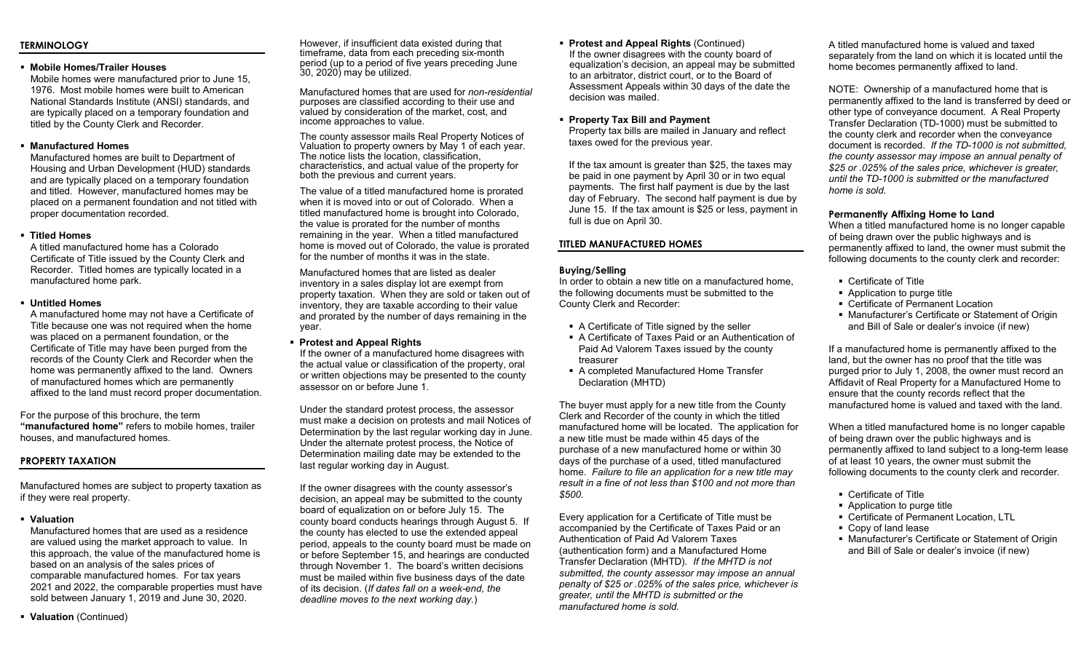## **TERMINOLOGY**

## **Mobile Homes/Trailer Houses**

Mobile homes were manufactured prior to June 15, 1976. Most mobile homes were built to American National Standards Institute (ANSI) standards, and are typically placed on a temporary foundation and titled by the County Clerk and Recorder.

## **Manufactured Homes**

Manufactured homes are built to Department of Housing and Urban Development (HUD) standards and are typically placed on a temporary foundation and titled. However, manufactured homes may be placed on a permanent foundation and not titled with proper documentation recorded.

## **Titled Homes**

A titled manufactured home has a Colorado Certificate of Title issued by the County Clerk and Recorder. Titled homes are typically located in a manufactured home park.

## **Untitled Homes**

A manufactured home may not have a Certificate of Title because one was not required when the home was placed on a permanent foundation, or the Certificate of Title may have been purged from the records of the County Clerk and Recorder when the home was permanently affixed to the land. Owners of manufactured homes which are permanently affixed to the land must record proper documentation.

For the purpose of this brochure, the term **"manufactured home"** refers to mobile homes, trailer houses, and manufactured homes.

# **PROPERTY TAXATION**

Manufactured homes are subject to property taxation as if they were real property.

**Valuation**

Manufactured homes that are used as a residence are valued using the market approach to value. In this approach, the value of the manufactured home is based on an analysis of the sales prices of comparable manufactured homes. For tax years 2021 and 2022, the comparable properties must have sold between January 1, 2019 and June 30, 2020.

However, if insufficient data existed during that timeframe, data from each preceding six-month period (up to a period of five years preceding June 30, 2020) may be utilized.

Manufactured homes that are used for *non-residential* purposes are classified according to their use and valued by consideration of the market, cost, and income approaches to value.

The county assessor mails Real Property Notices of Valuation to property owners by May 1 of each year. The notice lists the location, classification, characteristics, and actual value of the property for both the previous and current years.

The value of a titled manufactured home is prorated when it is moved into or out of Colorado. When a titled manufactured home is brought into Colorado, the value is prorated for the number of months remaining in the year. When a titled manufactured home is moved out of Colorado, the value is prorated for the number of months it was in the state.

Manufactured homes that are listed as dealer inventory in a sales display lot are exempt from property taxation. When they are sold or taken out of inventory, they are taxable according to their value and prorated by the number of days remaining in the year.

**Protest and Appeal Rights**

If the owner of a manufactured home disagrees with the actual value or classification of the property, oral or written objections may be presented to the county assessor on or before June 1.

Under the standard protest process, the assessor must make a decision on protests and mail Notices of Determination by the last regular working day in June. Under the alternate protest process, the Notice of Determination mailing date may be extended to the last regular working day in August.

If the owner disagrees with the county assessor's decision, an appeal may be submitted to the county board of equalization on or before July 15. The county board conducts hearings through August 5. If the county has elected to use the extended appeal period, appeals to the county board must be made on or before September 15, and hearings are conducted through November 1. The board's written decisions must be mailed within five business days of the date of its decision. (*If dates fall on a week-end, the deadline moves to the next working day.*)

 **Protest and Appeal Rights** (Continued) If the owner disagrees with the county board of equalization's decision, an appeal may be submitted to an arbitrator, district court, or to the Board of Assessment Appeals within 30 days of the date the decision was mailed.

 **Property Tax Bill and Payment** Property tax bills are mailed in January and reflect taxes owed for the previous year.

If the tax amount is greater than \$25, the taxes may be paid in one payment by April 30 or in two equal payments. The first half payment is due by the last day of February. The second half payment is due by June 15. If the tax amount is \$25 or less, payment in full is due on April 30.

## **TITLED MANUFACTURED HOMES**

## **Buying/Selling**

In order to obtain a new title on a manufactured home, the following documents must be submitted to the County Clerk and Recorder:

- A Certificate of Title signed by the seller
- A Certificate of Taxes Paid or an Authentication of Paid Ad Valorem Taxes issued by the county treasurer
- A completed Manufactured Home Transfer Declaration (MHTD)

The buyer must apply for a new title from the County Clerk and Recorder of the county in which the titled manufactured home will be located. The application for a new title must be made within 45 days of the purchase of a new manufactured home or within 30 days of the purchase of a used, titled manufactured home. *Failure to file an application for a new title may result in a fine of not less than \$100 and not more than \$500.*

Every application for a Certificate of Title must be accompanied by the Certificate of Taxes Paid or an Authentication of Paid Ad Valorem Taxes (authentication form) and a Manufactured Home Transfer Declaration (MHTD). *If the MHTD is not submitted, the county assessor may impose an annual penalty of \$25 or .025% of the sales price, whichever is greater, until the MHTD is submitted or the manufactured home is sold.*

A titled manufactured home is valued and taxed separately from the land on which it is located until the home becomes permanently affixed to land.

NOTE: Ownership of a manufactured home that is permanently affixed to the land is transferred by deed or other type of conveyance document. A Real Property Transfer Declaration (TD-1000) must be submitted to the county clerk and recorder when the conveyance document is recorded. *If the TD-1000 is not submitted, the county assessor may impose an annual penalty of \$25 or .025% of the sales price, whichever is greater, until the TD-1000 is submitted or the manufactured home is sold.*

## **Permanently Affixing Home to Land**

When a titled manufactured home is no longer capable of being drawn over the public highways and is permanently affixed to land, the owner must submit the following documents to the county clerk and recorder:

- Certificate of Title
- Application to purge title
- Certificate of Permanent Location
- Manufacturer's Certificate or Statement of Origin and Bill of Sale or dealer's invoice (if new)

If a manufactured home is permanently affixed to the land, but the owner has no proof that the title was purged prior to July 1, 2008, the owner must record an Affidavit of Real Property for a Manufactured Home to ensure that the county records reflect that the manufactured home is valued and taxed with the land.

When a titled manufactured home is no longer capable of being drawn over the public highways and is permanently affixed to land subject to a long-term lease of at least 10 years, the owner must submit the following documents to the county clerk and recorder.

- Certificate of Title
- Application to purge title
- Certificate of Permanent Location, LTL
- Copy of land lease
- Manufacturer's Certificate or Statement of Origin and Bill of Sale or dealer's invoice (if new)

**Valuation** (Continued)